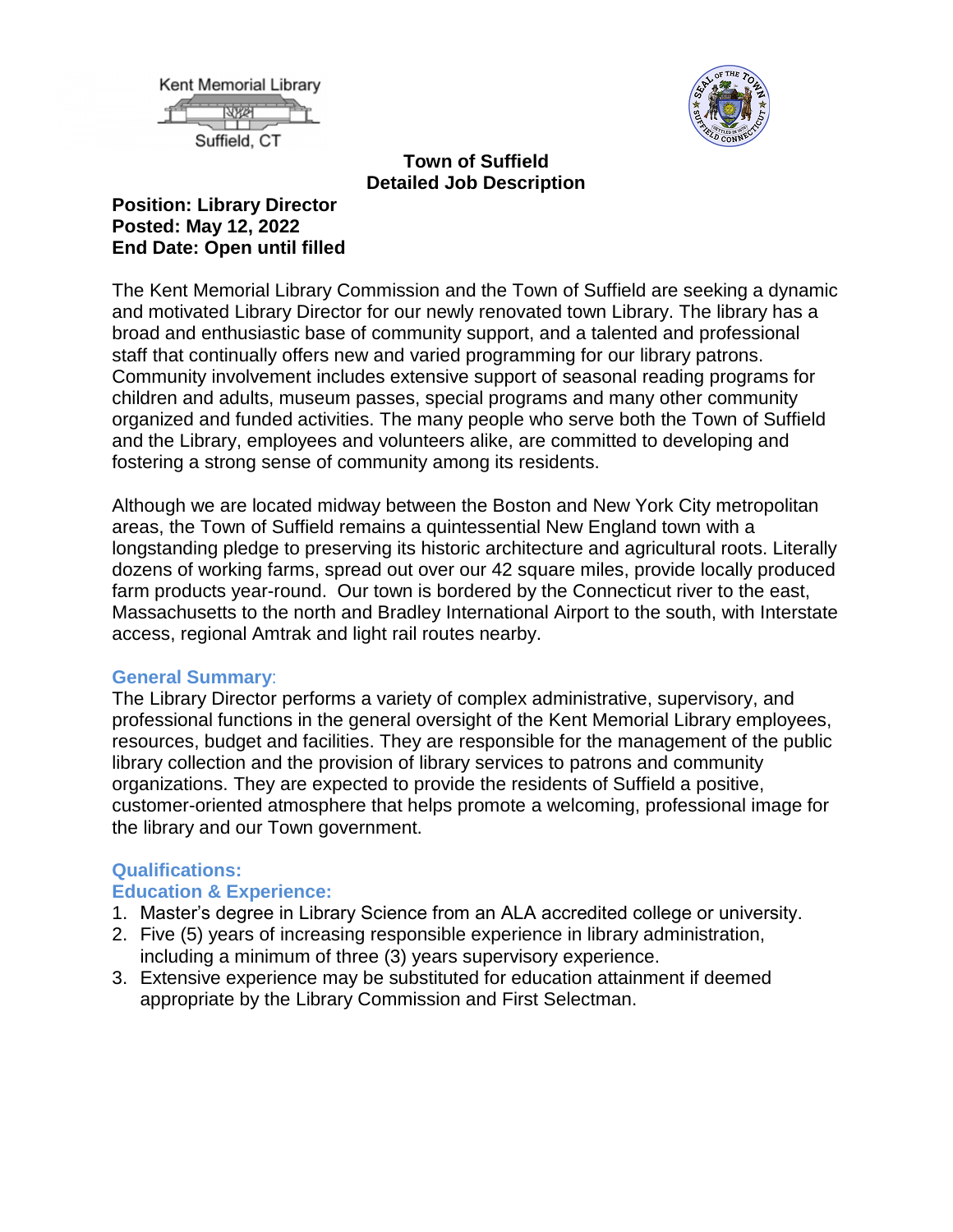



### **Town of Suffield Detailed Job Description**

### **Position: Library Director Posted: May 12, 2022 End Date: Open until filled**

The Kent Memorial Library Commission and the Town of Suffield are seeking a dynamic and motivated Library Director for our newly renovated town Library. The library has a broad and enthusiastic base of community support, and a talented and professional staff that continually offers new and varied programming for our library patrons. Community involvement includes extensive support of seasonal reading programs for children and adults, museum passes, special programs and many other community organized and funded activities. The many people who serve both the Town of Suffield and the Library, employees and volunteers alike, are committed to developing and fostering a strong sense of community among its residents.

Although we are located midway between the Boston and New York City metropolitan areas, the Town of Suffield remains a quintessential New England town with a longstanding pledge to preserving its historic architecture and agricultural roots. Literally dozens of working farms, spread out over our 42 square miles, provide locally produced farm products year-round. Our town is bordered by the Connecticut river to the east, Massachusetts to the north and Bradley International Airport to the south, with Interstate access, regional Amtrak and light rail routes nearby.

### **General Summary**:

The Library Director performs a variety of complex administrative, supervisory, and professional functions in the general oversight of the Kent Memorial Library employees, resources, budget and facilities. They are responsible for the management of the public library collection and the provision of library services to patrons and community organizations. They are expected to provide the residents of Suffield a positive, customer-oriented atmosphere that helps promote a welcoming, professional image for the library and our Town government.

## **Qualifications:**

### **Education & Experience:**

- 1. Master's degree in Library Science from an ALA accredited college or university.
- 2. Five (5) years of increasing responsible experience in library administration, including a minimum of three (3) years supervisory experience.
- 3. Extensive experience may be substituted for education attainment if deemed appropriate by the Library Commission and First Selectman.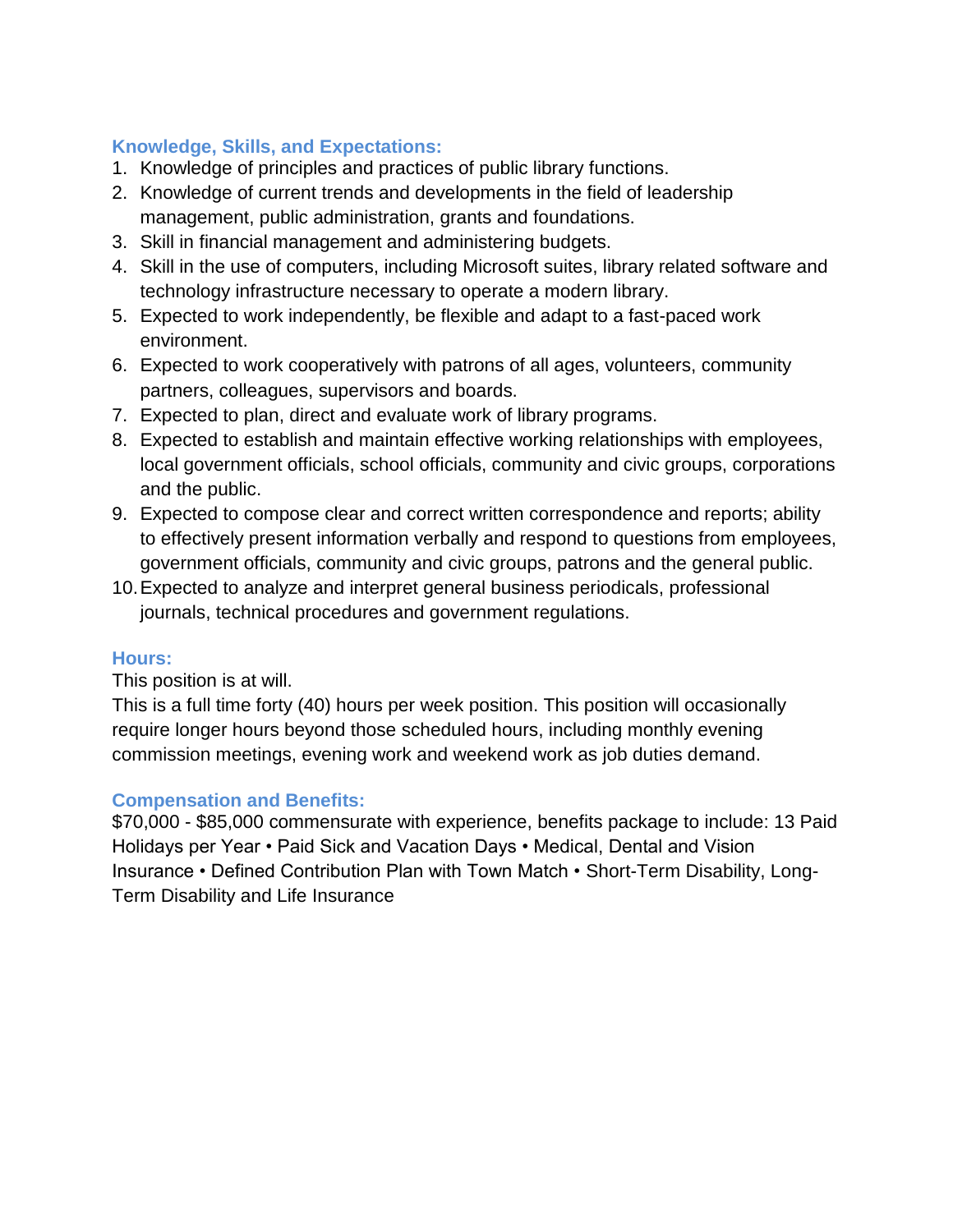# **Knowledge, Skills, and Expectations:**

- 1. Knowledge of principles and practices of public library functions.
- 2. Knowledge of current trends and developments in the field of leadership management, public administration, grants and foundations.
- 3. Skill in financial management and administering budgets.
- 4. Skill in the use of computers, including Microsoft suites, library related software and technology infrastructure necessary to operate a modern library.
- 5. Expected to work independently, be flexible and adapt to a fast-paced work environment.
- 6. Expected to work cooperatively with patrons of all ages, volunteers, community partners, colleagues, supervisors and boards.
- 7. Expected to plan, direct and evaluate work of library programs.
- 8. Expected to establish and maintain effective working relationships with employees, local government officials, school officials, community and civic groups, corporations and the public.
- 9. Expected to compose clear and correct written correspondence and reports; ability to effectively present information verbally and respond to questions from employees, government officials, community and civic groups, patrons and the general public.
- 10.Expected to analyze and interpret general business periodicals, professional journals, technical procedures and government regulations.

## **Hours:**

This position is at will.

This is a full time forty (40) hours per week position. This position will occasionally require longer hours beyond those scheduled hours, including monthly evening commission meetings, evening work and weekend work as job duties demand.

## **Compensation and Benefits:**

\$70,000 - \$85,000 commensurate with experience, benefits package to include: 13 Paid Holidays per Year • Paid Sick and Vacation Days • Medical, Dental and Vision Insurance • Defined Contribution Plan with Town Match • Short-Term Disability, Long-Term Disability and Life Insurance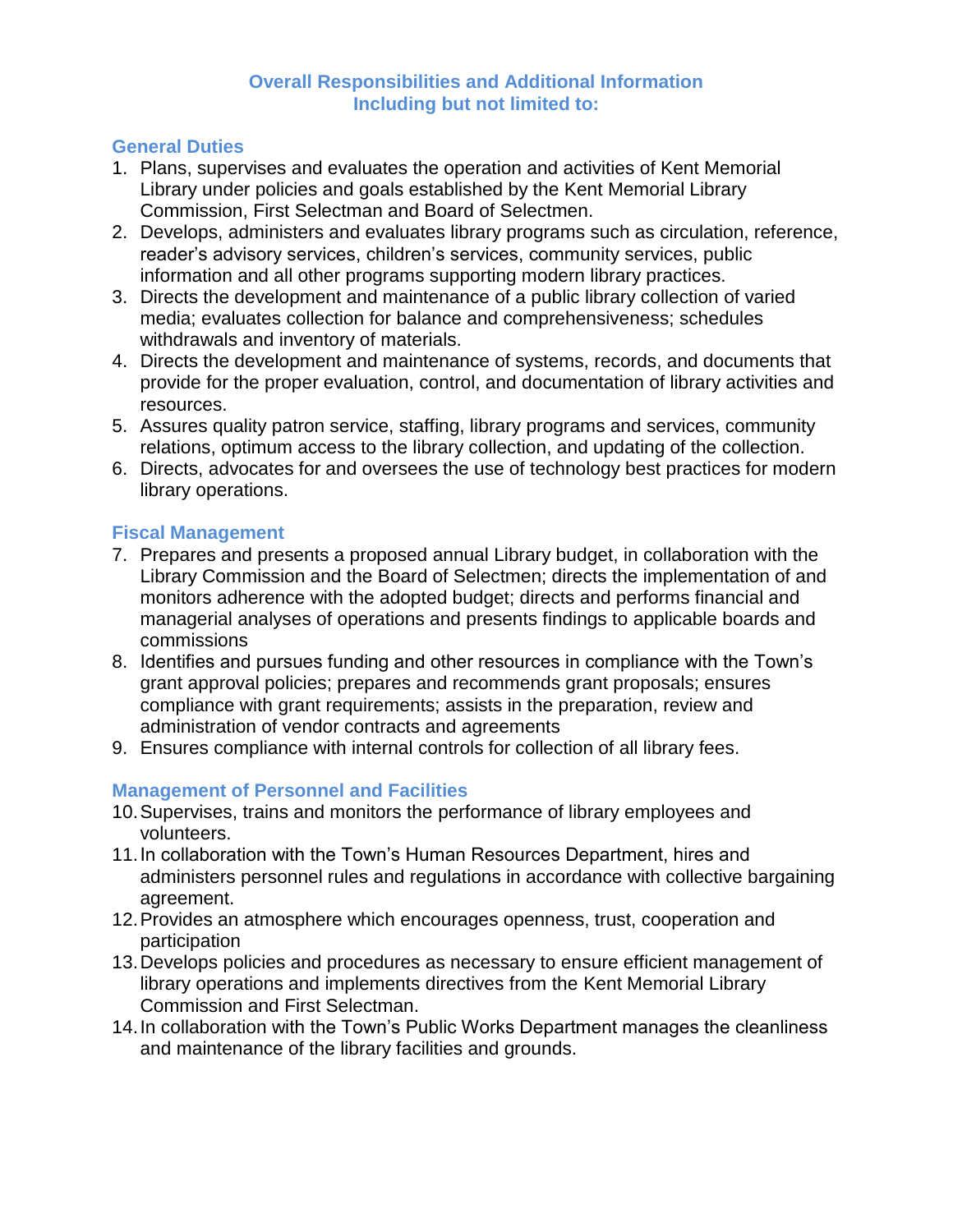### **Overall Responsibilities and Additional Information Including but not limited to:**

## **General Duties**

- 1. Plans, supervises and evaluates the operation and activities of Kent Memorial Library under policies and goals established by the Kent Memorial Library Commission, First Selectman and Board of Selectmen.
- 2. Develops, administers and evaluates library programs such as circulation, reference, reader's advisory services, children's services, community services, public information and all other programs supporting modern library practices.
- 3. Directs the development and maintenance of a public library collection of varied media; evaluates collection for balance and comprehensiveness; schedules withdrawals and inventory of materials.
- 4. Directs the development and maintenance of systems, records, and documents that provide for the proper evaluation, control, and documentation of library activities and resources.
- 5. Assures quality patron service, staffing, library programs and services, community relations, optimum access to the library collection, and updating of the collection.
- 6. Directs, advocates for and oversees the use of technology best practices for modern library operations.

## **Fiscal Management**

- 7. Prepares and presents a proposed annual Library budget, in collaboration with the Library Commission and the Board of Selectmen; directs the implementation of and monitors adherence with the adopted budget; directs and performs financial and managerial analyses of operations and presents findings to applicable boards and commissions
- 8. Identifies and pursues funding and other resources in compliance with the Town's grant approval policies; prepares and recommends grant proposals; ensures compliance with grant requirements; assists in the preparation, review and administration of vendor contracts and agreements
- 9. Ensures compliance with internal controls for collection of all library fees.

# **Management of Personnel and Facilities**

- 10.Supervises, trains and monitors the performance of library employees and volunteers.
- 11.In collaboration with the Town's Human Resources Department, hires and administers personnel rules and regulations in accordance with collective bargaining agreement.
- 12.Provides an atmosphere which encourages openness, trust, cooperation and participation
- 13.Develops policies and procedures as necessary to ensure efficient management of library operations and implements directives from the Kent Memorial Library Commission and First Selectman.
- 14.In collaboration with the Town's Public Works Department manages the cleanliness and maintenance of the library facilities and grounds.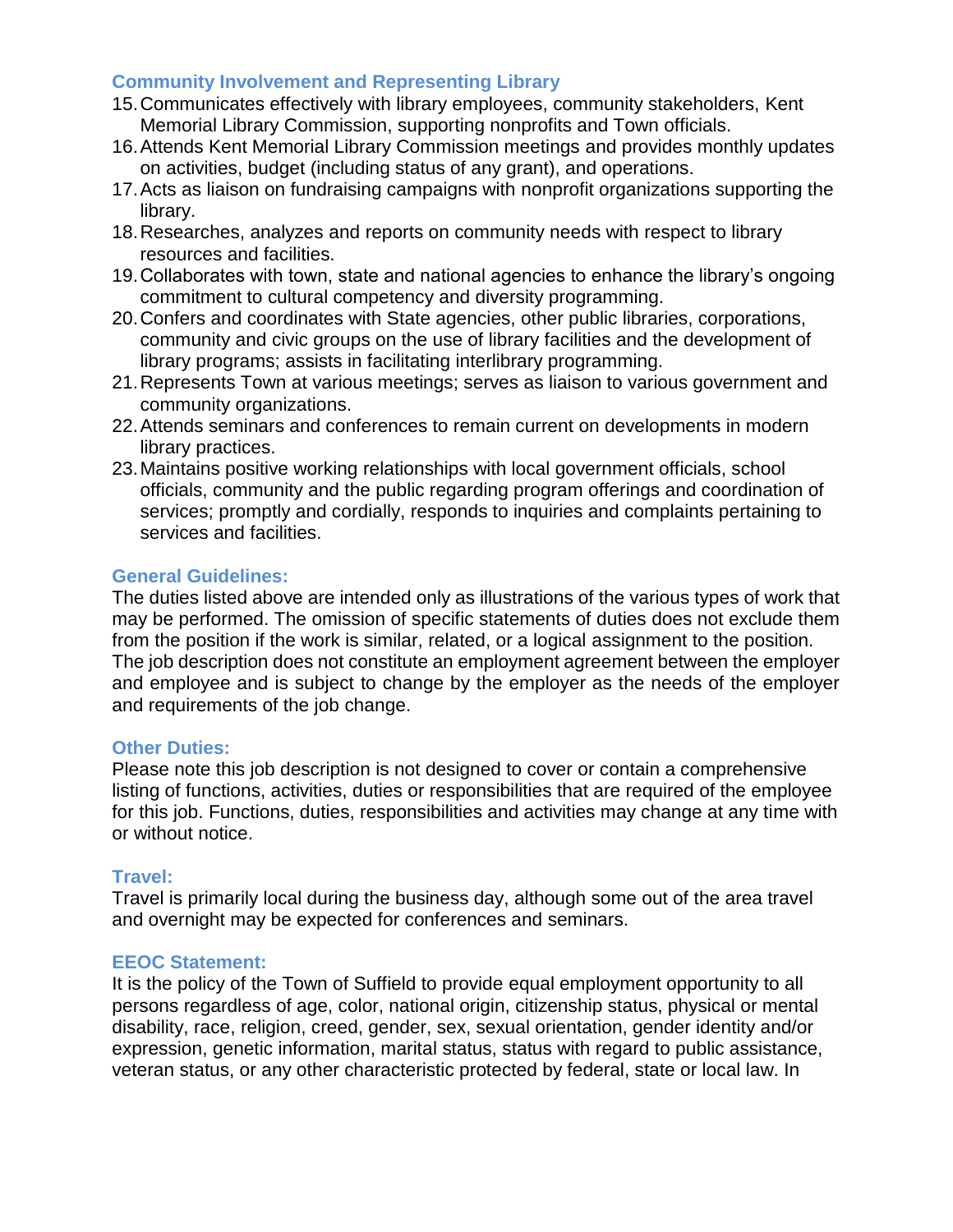### **Community Involvement and Representing Library**

- 15.Communicates effectively with library employees, community stakeholders, Kent Memorial Library Commission, supporting nonprofits and Town officials.
- 16.Attends Kent Memorial Library Commission meetings and provides monthly updates on activities, budget (including status of any grant), and operations.
- 17.Acts as liaison on fundraising campaigns with nonprofit organizations supporting the library.
- 18.Researches, analyzes and reports on community needs with respect to library resources and facilities.
- 19.Collaborates with town, state and national agencies to enhance the library's ongoing commitment to cultural competency and diversity programming.
- 20.Confers and coordinates with State agencies, other public libraries, corporations, community and civic groups on the use of library facilities and the development of library programs; assists in facilitating interlibrary programming.
- 21.Represents Town at various meetings; serves as liaison to various government and community organizations.
- 22.Attends seminars and conferences to remain current on developments in modern library practices.
- 23.Maintains positive working relationships with local government officials, school officials, community and the public regarding program offerings and coordination of services; promptly and cordially, responds to inquiries and complaints pertaining to services and facilities.

### **General Guidelines:**

The duties listed above are intended only as illustrations of the various types of work that may be performed. The omission of specific statements of duties does not exclude them from the position if the work is similar, related, or a logical assignment to the position. The job description does not constitute an employment agreement between the employer and employee and is subject to change by the employer as the needs of the employer and requirements of the job change.

#### **Other Duties:**

Please note this job description is not designed to cover or contain a comprehensive listing of functions, activities, duties or responsibilities that are required of the employee for this job. Functions, duties, responsibilities and activities may change at any time with or without notice.

### **Travel:**

Travel is primarily local during the business day, although some out of the area travel and overnight may be expected for conferences and seminars.

### **EEOC Statement:**

It is the policy of the Town of Suffield to provide equal employment opportunity to all persons regardless of age, color, national origin, citizenship status, physical or mental disability, race, religion, creed, gender, sex, sexual orientation, gender identity and/or expression, genetic information, marital status, status with regard to public assistance, veteran status, or any other characteristic protected by federal, state or local law. In